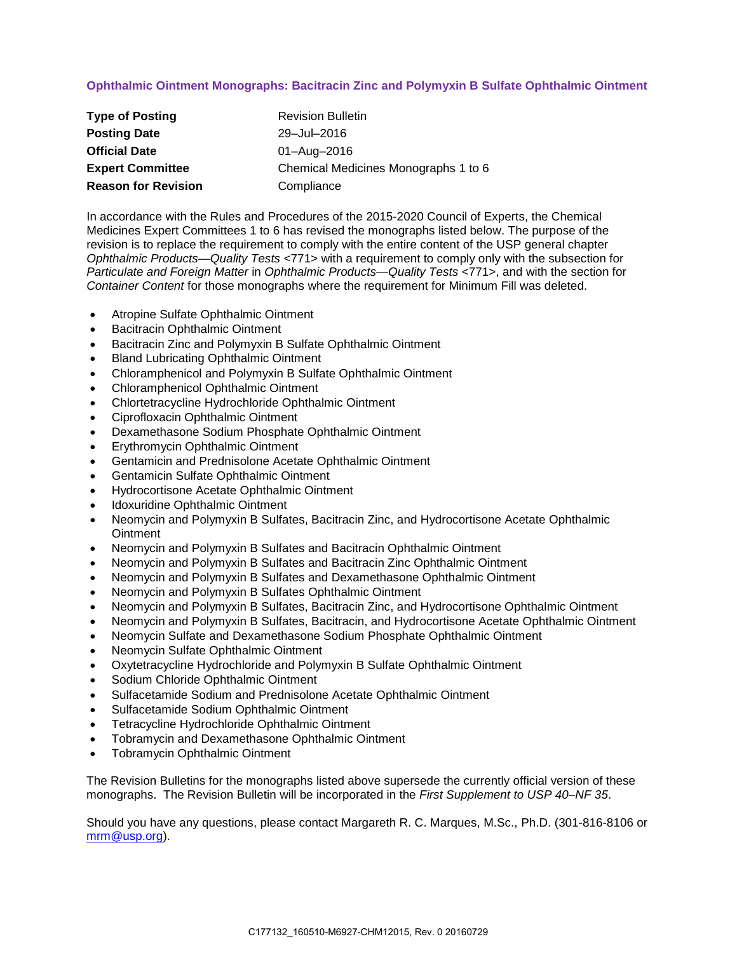# **Ophthalmic Ointment Monographs: Bacitracin Zinc and Polymyxin B Sulfate Ophthalmic Ointment**

| <b>Type of Posting</b>     | <b>Revision Bulletin</b>             |
|----------------------------|--------------------------------------|
| <b>Posting Date</b>        | 29-Jul-2016                          |
| <b>Official Date</b>       | 01-Aug-2016                          |
| <b>Expert Committee</b>    | Chemical Medicines Monographs 1 to 6 |
| <b>Reason for Revision</b> | Compliance                           |

In accordance with the Rules and Procedures of the 2015-2020 Council of Experts, the Chemical Medicines Expert Committees 1 to 6 has revised the monographs listed below. The purpose of the revision is to replace the requirement to comply with the entire content of the USP general chapter *Ophthalmic Products—Quality Tests* <771> with a requirement to comply only with the subsection for *Particulate and Foreign Matter* in *Ophthalmic Products—Quality Tests* <771>, and with the section for *Container Content* for those monographs where the requirement for Minimum Fill was deleted.

- Atropine Sulfate Ophthalmic Ointment
- Bacitracin Ophthalmic Ointment
- Bacitracin Zinc and Polymyxin B Sulfate Ophthalmic Ointment
- Bland Lubricating Ophthalmic Ointment
- Chloramphenicol and Polymyxin B Sulfate Ophthalmic Ointment
- Chloramphenicol Ophthalmic Ointment
- Chlortetracycline Hydrochloride Ophthalmic Ointment
- Ciprofloxacin Ophthalmic Ointment
- Dexamethasone Sodium Phosphate Ophthalmic Ointment
- Erythromycin Ophthalmic Ointment
- Gentamicin and Prednisolone Acetate Ophthalmic Ointment
- Gentamicin Sulfate Ophthalmic Ointment
- Hydrocortisone Acetate Ophthalmic Ointment
- Idoxuridine Ophthalmic Ointment
- Neomycin and Polymyxin B Sulfates, Bacitracin Zinc, and Hydrocortisone Acetate Ophthalmic **Ointment**
- Neomycin and Polymyxin B Sulfates and Bacitracin Ophthalmic Ointment
- Neomycin and Polymyxin B Sulfates and Bacitracin Zinc Ophthalmic Ointment
- Neomycin and Polymyxin B Sulfates and Dexamethasone Ophthalmic Ointment
- Neomycin and Polymyxin B Sulfates Ophthalmic Ointment
- Neomycin and Polymyxin B Sulfates, Bacitracin Zinc, and Hydrocortisone Ophthalmic Ointment
- Neomycin and Polymyxin B Sulfates, Bacitracin, and Hydrocortisone Acetate Ophthalmic Ointment
- Neomycin Sulfate and Dexamethasone Sodium Phosphate Ophthalmic Ointment
- Neomycin Sulfate Ophthalmic Ointment
- Oxytetracycline Hydrochloride and Polymyxin B Sulfate Ophthalmic Ointment
- Sodium Chloride Ophthalmic Ointment
- Sulfacetamide Sodium and Prednisolone Acetate Ophthalmic Ointment
- Sulfacetamide Sodium Ophthalmic Ointment
- Tetracycline Hydrochloride Ophthalmic Ointment
- Tobramycin and Dexamethasone Ophthalmic Ointment
- Tobramycin Ophthalmic Ointment

The Revision Bulletins for the monographs listed above supersede the currently official version of these monographs. The Revision Bulletin will be incorporated in the *First Supplement to USP 40–NF 35*.

Should you have any questions, please contact Margareth R. C. Marques, M.Sc., Ph.D. (301-816-8106 or [mrm@usp.org\)](mailto:mrm@usp.org).